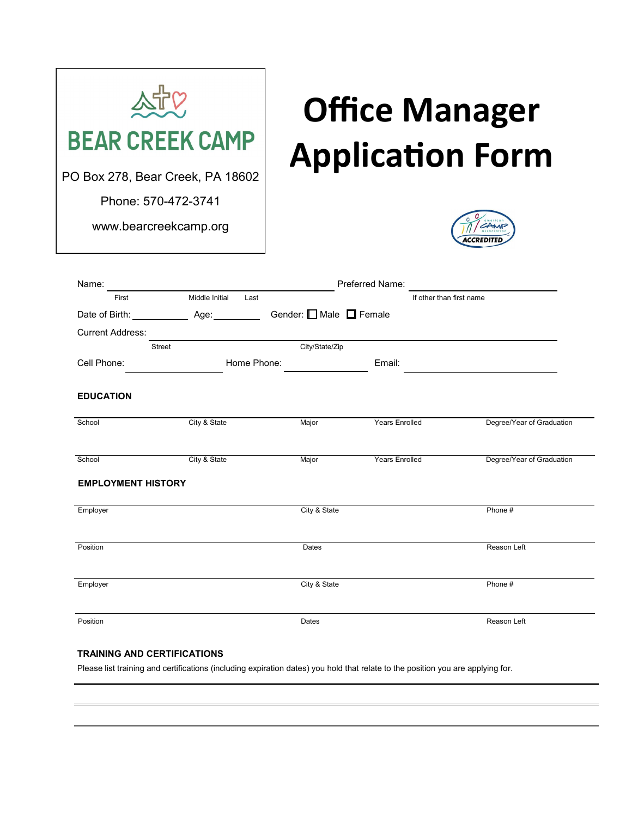

## **Office Manager Application Form**



| Name:                     | Preferred Name: |                                |                          |                           |  |
|---------------------------|-----------------|--------------------------------|--------------------------|---------------------------|--|
| First                     | Middle Initial  | Last                           | If other than first name |                           |  |
| Date of Birth:            | Age: _________  | Gender: <b>□</b> Male ■ Female |                          |                           |  |
| <b>Current Address:</b>   |                 |                                |                          |                           |  |
|                           | Street          | City/State/Zip                 |                          |                           |  |
| Cell Phone:               |                 | Home Phone:                    | Email:                   |                           |  |
| <b>EDUCATION</b>          |                 |                                |                          |                           |  |
| School                    | City & State    | Major                          | Years Enrolled           | Degree/Year of Graduation |  |
| School                    | City & State    | Major                          | <b>Years Enrolled</b>    | Degree/Year of Graduation |  |
| <b>EMPLOYMENT HISTORY</b> |                 |                                |                          |                           |  |
| Employer                  |                 | City & State                   |                          | Phone #                   |  |
| Position                  |                 | Dates                          |                          | Reason Left               |  |
| Employer                  |                 | City & State                   |                          | Phone #                   |  |
| Position                  |                 | Dates                          |                          | Reason Left               |  |

## **TRAINING AND CERTIFICATIONS**

Please list training and certifications (including expiration dates) you hold that relate to the position you are applying for.